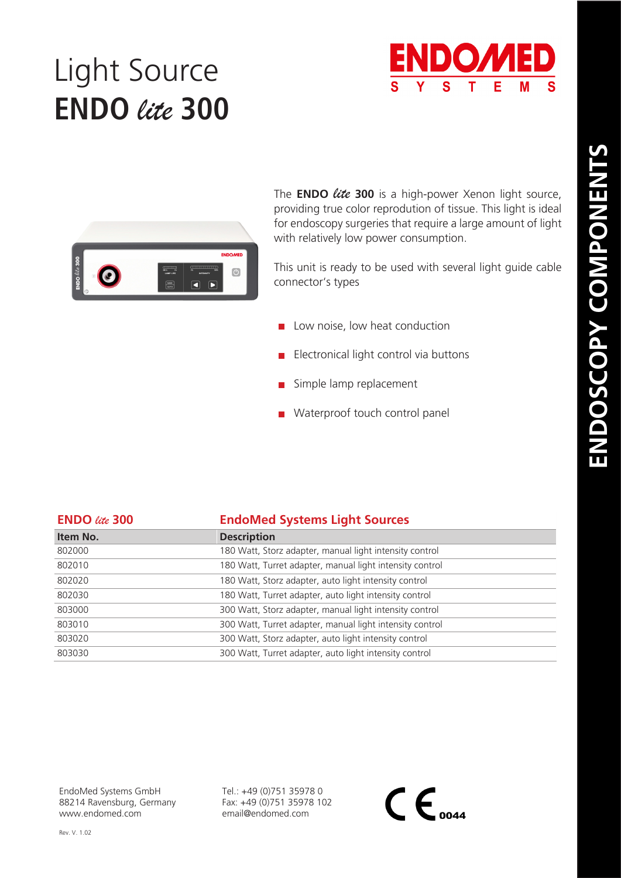## Light Source **ENDO** *lite* **300**





The **ENDO** *lite***<sup>300</sup>** is a high-power Xenon light source, providing true color reprodution of tissue. This light is ideal for endoscopy surgeries that require a large amount of light with relatively low power consumption.

This unit is ready to be used with several light guide cable connector's types

- $\Box$  Low noise, low heat conduction
- Electronical light control via buttons
- $\blacksquare$  Simple lamp replacement
- **Waterproof touch control panel**

| <b>ENDO</b> lite 300 | <b>EndoMed Systems Light Sources</b>                     |
|----------------------|----------------------------------------------------------|
| Item No.             | <b>Description</b>                                       |
| 802000               | 180 Watt, Storz adapter, manual light intensity control  |
| 802010               | 180 Watt, Turret adapter, manual light intensity control |
| 802020               | 180 Watt, Storz adapter, auto light intensity control    |
| 802030               | 180 Watt, Turret adapter, auto light intensity control   |
| 803000               | 300 Watt, Storz adapter, manual light intensity control  |
| 803010               | 300 Watt, Turret adapter, manual light intensity control |
| 803020               | 300 Watt, Storz adapter, auto light intensity control    |
| 803030               | 300 Watt, Turret adapter, auto light intensity control   |

EndoMed Systems GmbH 88214 Ravensburg, Germany www.endomed.com

Tel.: +49 (0)751 35978 0 Fax: +49 (0)751 35978 102 email@endomed.com

 $\mathsf{CE}_{\scriptscriptstyle o$ 044